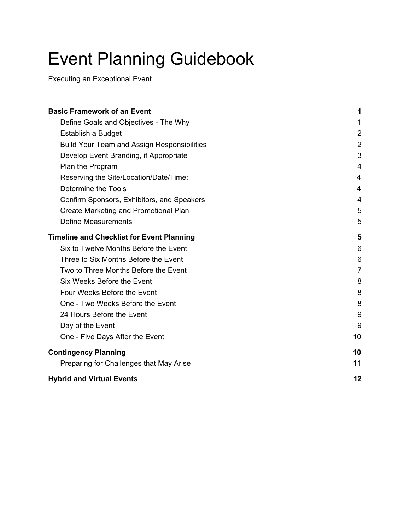# Event Planning Guidebook

Executing an Exceptional Event

| <b>Basic Framework of an Event</b>                 | 1              |
|----------------------------------------------------|----------------|
| Define Goals and Objectives - The Why              | 1              |
| Establish a Budget                                 | $\overline{2}$ |
| <b>Build Your Team and Assign Responsibilities</b> | $\overline{2}$ |
| Develop Event Branding, if Appropriate             | 3              |
| Plan the Program                                   | 4              |
| Reserving the Site/Location/Date/Time:             | 4              |
| Determine the Tools                                | 4              |
| Confirm Sponsors, Exhibitors, and Speakers         | 4              |
| Create Marketing and Promotional Plan              | 5              |
| Define Measurements                                | 5              |
| <b>Timeline and Checklist for Event Planning</b>   | 5              |
| Six to Twelve Months Before the Event              | 6              |
| Three to Six Months Before the Event               | 6              |
| Two to Three Months Before the Event               | $\overline{7}$ |
| Six Weeks Before the Event                         | 8              |
| Four Weeks Before the Event                        | 8              |
| One - Two Weeks Before the Event                   | 8              |
| 24 Hours Before the Event                          | 9              |
| Day of the Event                                   | 9              |
| One - Five Days After the Event                    | 10             |
| <b>Contingency Planning</b>                        | 10             |
| Preparing for Challenges that May Arise            | 11             |
| <b>Hybrid and Virtual Events</b>                   | 12             |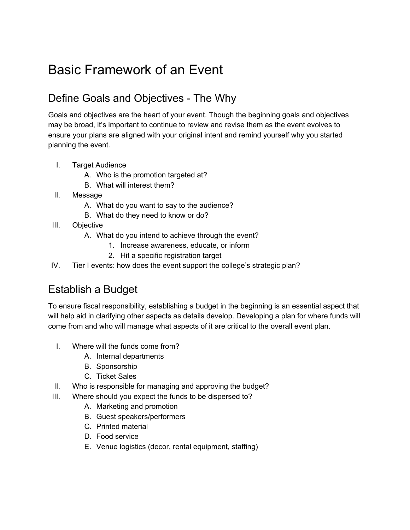## <span id="page-1-0"></span>Basic Framework of an Event

### <span id="page-1-1"></span>Define Goals and Objectives - The Why

Goals and objectives are the heart of your event. Though the beginning goals and objectives may be broad, it's important to continue to review and revise them as the event evolves to ensure your plans are aligned with your original intent and remind yourself why you started planning the event.

- I. Target Audience
	- A. Who is the promotion targeted at?
	- B. What will interest them?
- II. Message
	- A. What do you want to say to the audience?
	- B. What do they need to know or do?
- III. Objective
	- A. What do you intend to achieve through the event?
		- 1. Increase awareness, educate, or inform
		- 2. Hit a specific registration target
- <span id="page-1-2"></span>IV. Tier I events: how does the event support the college's strategic plan?

### Establish a Budget

To ensure fiscal responsibility, establishing a budget in the beginning is an essential aspect that will help aid in clarifying other aspects as details develop. Developing a plan for where funds will come from and who will manage what aspects of it are critical to the overall event plan.

- I. Where will the funds come from?
	- A. Internal departments
	- B. Sponsorship
	- C. Ticket Sales
- II. Who is responsible for managing and approving the budget?
- III. Where should you expect the funds to be dispersed to?
	- A. Marketing and promotion
	- B. Guest speakers/performers
	- C. Printed material
	- D. Food service
	- E. Venue logistics (decor, rental equipment, staffing)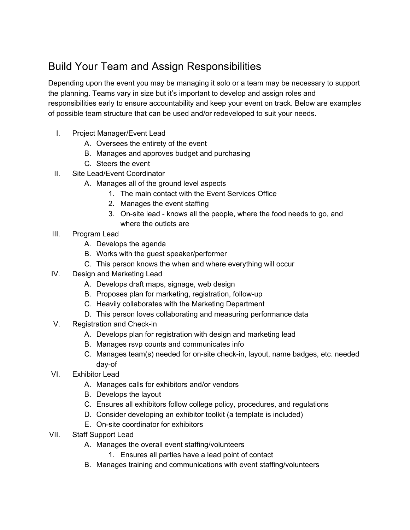### <span id="page-2-0"></span>Build Your Team and Assign Responsibilities

Depending upon the event you may be managing it solo or a team may be necessary to support the planning. Teams vary in size but it's important to develop and assign roles and responsibilities early to ensure accountability and keep your event on track. Below are examples of possible team structure that can be used and/or redeveloped to suit your needs.

- I. Project Manager/Event Lead
	- A. Oversees the entirety of the event
	- B. Manages and approves budget and purchasing
	- C. Steers the event
- II. Site Lead/Event Coordinator
	- A. Manages all of the ground level aspects
		- 1. The main contact with the Event Services Office
		- 2. Manages the event staffing
		- 3. On-site lead knows all the people, where the food needs to go, and where the outlets are
- III. Program Lead
	- A. Develops the agenda
	- B. Works with the guest speaker/performer
	- C. This person knows the when and where everything will occur
- IV. Design and Marketing Lead
	- A. Develops draft maps, signage, web design
	- B. Proposes plan for marketing, registration, follow-up
	- C. Heavily collaborates with the Marketing Department
	- D. This person loves collaborating and measuring performance data
- V. Registration and Check-in
	- A. Develops plan for registration with design and marketing lead
	- B. Manages rsvp counts and communicates info
	- C. Manages team(s) needed for on-site check-in, layout, name badges, etc. needed day-of
- VI. Exhibitor Lead
	- A. Manages calls for exhibitors and/or vendors
	- B. Develops the layout
	- C. Ensures all exhibitors follow college policy, procedures, and regulations
	- D. Consider developing an exhibitor toolkit (a template is included)
	- E. On-site coordinator for exhibitors
- VII. Staff Support Lead
	- A. Manages the overall event staffing/volunteers
		- 1. Ensures all parties have a lead point of contact
	- B. Manages training and communications with event staffing/volunteers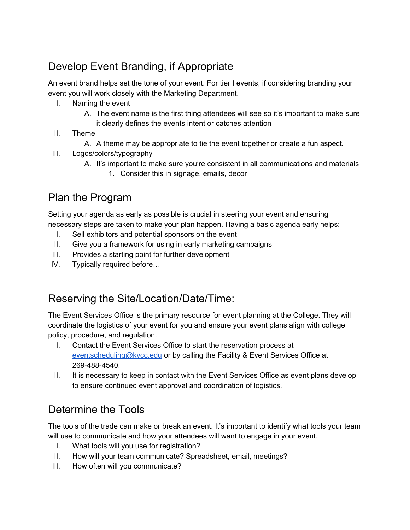### <span id="page-3-0"></span>Develop Event Branding, if Appropriate

An event brand helps set the tone of your event. For tier I events, if considering branding your event you will work closely with the Marketing Department.

- I. Naming the event
	- A. The event name is the first thing attendees will see so it's important to make sure it clearly defines the events intent or catches attention
- II. Theme
	- A. A theme may be appropriate to tie the event together or create a fun aspect.
- III. Logos/colors/typography
	- A. It's important to make sure you're consistent in all communications and materials
		- 1. Consider this in signage, emails, decor

### <span id="page-3-1"></span>Plan the Program

Setting your agenda as early as possible is crucial in steering your event and ensuring necessary steps are taken to make your plan happen. Having a basic agenda early helps:

- I. Sell exhibitors and potential sponsors on the event
- II. Give you a framework for using in early marketing campaigns
- III. Provides a starting point for further development
- IV. Typically required before…

### <span id="page-3-2"></span>Reserving the Site/Location/Date/Time:

The Event Services Office is the primary resource for event planning at the College. They will coordinate the logistics of your event for you and ensure your event plans align with college policy, procedure, and regulation.

- I. Contact the Event Services Office to start the reservation process at [eventscheduling@kvcc.edu](mailto:eventscheduling@kvcc.edu) or by calling the Facility & Event Services Office at 269-488-4540.
- II. It is necessary to keep in contact with the Event Services Office as event plans develop to ensure continued event approval and coordination of logistics.

### <span id="page-3-3"></span>Determine the Tools

The tools of the trade can make or break an event. It's important to identify what tools your team will use to communicate and how your attendees will want to engage in your event.

- I. What tools will you use for registration?
- II. How will your team communicate? Spreadsheet, email, meetings?
- III. How often will you communicate?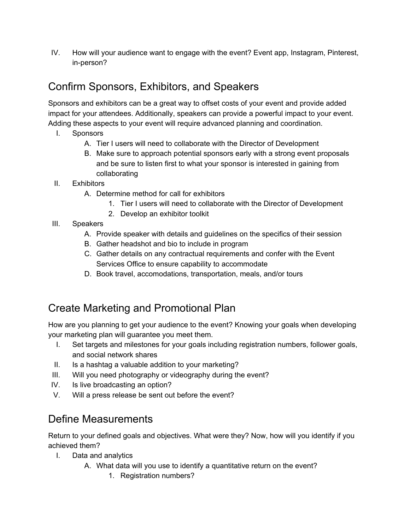IV. How will your audience want to engage with the event? Event app, Instagram, Pinterest, in-person?

### <span id="page-4-0"></span>Confirm Sponsors, Exhibitors, and Speakers

Sponsors and exhibitors can be a great way to offset costs of your event and provide added impact for your attendees. Additionally, speakers can provide a powerful impact to your event. Adding these aspects to your event will require advanced planning and coordination.

- I. Sponsors
	- A. Tier I users will need to collaborate with the Director of Development
	- B. Make sure to approach potential sponsors early with a strong event proposals and be sure to listen first to what your sponsor is interested in gaining from collaborating
- II. Exhibitors
	- A. Determine method for call for exhibitors
		- 1. Tier I users will need to collaborate with the Director of Development
		- 2. Develop an exhibitor toolkit
- III. Speakers
	- A. Provide speaker with details and guidelines on the specifics of their session
	- B. Gather headshot and bio to include in program
	- C. Gather details on any contractual requirements and confer with the Event Services Office to ensure capability to accommodate
	- D. Book travel, accomodations, transportation, meals, and/or tours

### <span id="page-4-1"></span>Create Marketing and Promotional Plan

How are you planning to get your audience to the event? Knowing your goals when developing your marketing plan will guarantee you meet them.

- I. Set targets and milestones for your goals including registration numbers, follower goals, and social network shares
- II. Is a hashtag a valuable addition to your marketing?
- III. Will you need photography or videography during the event?
- IV. Is live broadcasting an option?
- <span id="page-4-2"></span>V. Will a press release be sent out before the event?

### Define Measurements

Return to your defined goals and objectives. What were they? Now, how will you identify if you achieved them?

- I. Data and analytics
	- A. What data will you use to identify a quantitative return on the event?
		- 1. Registration numbers?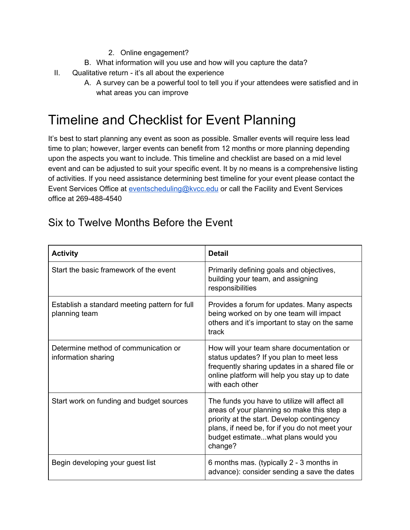#### 2. Online engagement?

- B. What information will you use and how will you capture the data?
- II. Qualitative return it's all about the experience
	- A. A survey can be a powerful tool to tell you if your attendees were satisfied and in what areas you can improve

## <span id="page-5-0"></span>Timeline and Checklist for Event Planning

It's best to start planning any event as soon as possible. Smaller events will require less lead time to plan; however, larger events can benefit from 12 months or more planning depending upon the aspects you want to include. This timeline and checklist are based on a mid level event and can be adjusted to suit your specific event. It by no means is a comprehensive listing of activities. If you need assistance determining best timeline for your event please contact the Event Services Office at [eventscheduling@kvcc.edu](mailto:eventscheduling@kvcc.edu) or call the Facility and Event Services office at 269-488-4540

#### Activity **Detail** Start the basic framework of the event **Primarily defining goals and objectives**, building your team, and assigning responsibilities Establish a standard meeting pattern for full planning team Provides a forum for updates. Many aspects being worked on by one team will impact others and it's important to stay on the same track Determine method of communication or information sharing How will your team share documentation or status updates? If you plan to meet less frequently sharing updates in a shared file or online platform will help you stay up to date with each other Start work on funding and budget sources  $\blacksquare$  The funds you have to utilize will affect all areas of your planning so make this step a priority at the start. Develop contingency plans, if need be, for if you do not meet your budget estimate...what plans would you change? Begin developing your guest list  $\vert$  6 months mas. (typically 2 - 3 months in advance): consider sending a save the dates

### <span id="page-5-1"></span>Six to Twelve Months Before the Event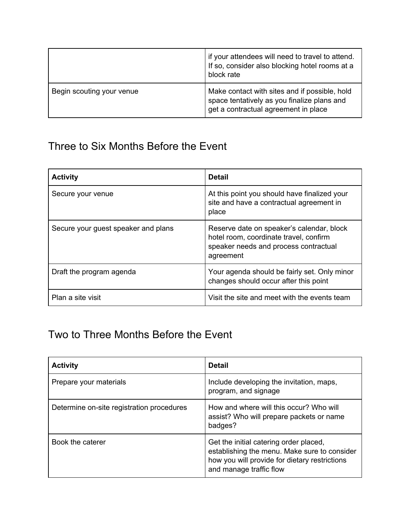|                           | if your attendees will need to travel to attend.<br>If so, consider also blocking hotel rooms at a<br>block rate                     |
|---------------------------|--------------------------------------------------------------------------------------------------------------------------------------|
| Begin scouting your venue | Make contact with sites and if possible, hold<br>space tentatively as you finalize plans and<br>get a contractual agreement in place |

### <span id="page-6-0"></span>Three to Six Months Before the Event

| <b>Activity</b>                     | <b>Detail</b>                                                                                                                             |
|-------------------------------------|-------------------------------------------------------------------------------------------------------------------------------------------|
| Secure your venue                   | At this point you should have finalized your<br>site and have a contractual agreement in<br>place                                         |
| Secure your guest speaker and plans | Reserve date on speaker's calendar, block<br>hotel room, coordinate travel, confirm<br>speaker needs and process contractual<br>agreement |
| Draft the program agenda            | Your agenda should be fairly set. Only minor<br>changes should occur after this point                                                     |
| Plan a site visit                   | Visit the site and meet with the events team                                                                                              |

### <span id="page-6-1"></span>Two to Three Months Before the Event

| <b>Activity</b>                           | <b>Detail</b>                                                                                                                                                      |
|-------------------------------------------|--------------------------------------------------------------------------------------------------------------------------------------------------------------------|
| Prepare your materials                    | Include developing the invitation, maps,<br>program, and signage                                                                                                   |
| Determine on-site registration procedures | How and where will this occur? Who will<br>assist? Who will prepare packets or name<br>badges?                                                                     |
| Book the caterer                          | Get the initial catering order placed,<br>establishing the menu. Make sure to consider<br>how you will provide for dietary restrictions<br>and manage traffic flow |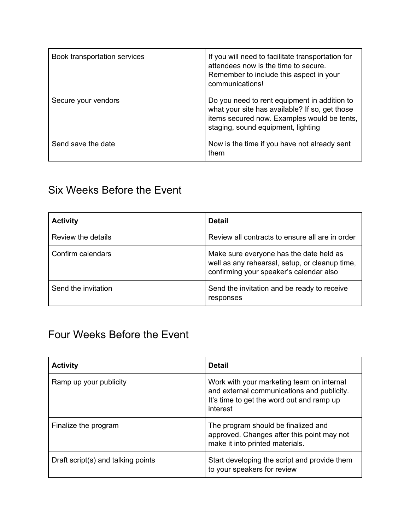| Book transportation services | If you will need to facilitate transportation for<br>attendees now is the time to secure.<br>Remember to include this aspect in your<br>communications!                             |
|------------------------------|-------------------------------------------------------------------------------------------------------------------------------------------------------------------------------------|
| Secure your vendors          | Do you need to rent equipment in addition to<br>what your site has available? If so, get those<br>items secured now. Examples would be tents,<br>staging, sound equipment, lighting |
| Send save the date           | Now is the time if you have not already sent<br>them                                                                                                                                |

### <span id="page-7-0"></span>Six Weeks Before the Event

| <b>Activity</b>     | <b>Detail</b>                                                                                                                        |
|---------------------|--------------------------------------------------------------------------------------------------------------------------------------|
| Review the details  | Review all contracts to ensure all are in order                                                                                      |
| Confirm calendars   | Make sure everyone has the date held as<br>well as any rehearsal, setup, or cleanup time,<br>confirming your speaker's calendar also |
| Send the invitation | Send the invitation and be ready to receive<br>responses                                                                             |

### <span id="page-7-1"></span>Four Weeks Before the Event

| <b>Activity</b>                    | <b>Detail</b>                                                                                                                                    |
|------------------------------------|--------------------------------------------------------------------------------------------------------------------------------------------------|
| Ramp up your publicity             | Work with your marketing team on internal<br>and external communications and publicity.<br>It's time to get the word out and ramp up<br>interest |
| Finalize the program               | The program should be finalized and<br>approved. Changes after this point may not<br>make it into printed materials.                             |
| Draft script(s) and talking points | Start developing the script and provide them<br>to your speakers for review                                                                      |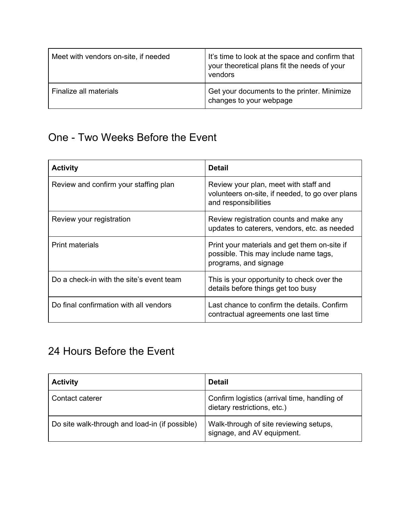| Meet with vendors on-site, if needed | It's time to look at the space and confirm that<br>your theoretical plans fit the needs of your<br>vendors |
|--------------------------------------|------------------------------------------------------------------------------------------------------------|
| Finalize all materials               | Get your documents to the printer. Minimize<br>changes to your webpage                                     |

### <span id="page-8-0"></span>One - Two Weeks Before the Event

| <b>Activity</b>                          | <b>Detail</b>                                                                                                    |
|------------------------------------------|------------------------------------------------------------------------------------------------------------------|
| Review and confirm your staffing plan    | Review your plan, meet with staff and<br>volunteers on-site, if needed, to go over plans<br>and responsibilities |
| Review your registration                 | Review registration counts and make any<br>updates to caterers, vendors, etc. as needed                          |
| <b>Print materials</b>                   | Print your materials and get them on-site if<br>possible. This may include name tags,<br>programs, and signage   |
| Do a check-in with the site's event team | This is your opportunity to check over the<br>details before things get too busy                                 |
| Do final confirmation with all vendors   | Last chance to confirm the details. Confirm<br>contractual agreements one last time                              |

### <span id="page-8-1"></span>24 Hours Before the Event

| <b>Activity</b>                                | <b>Detail</b>                                                               |
|------------------------------------------------|-----------------------------------------------------------------------------|
| Contact caterer                                | Confirm logistics (arrival time, handling of<br>dietary restrictions, etc.) |
| Do site walk-through and load-in (if possible) | Walk-through of site reviewing setups,<br>signage, and AV equipment.        |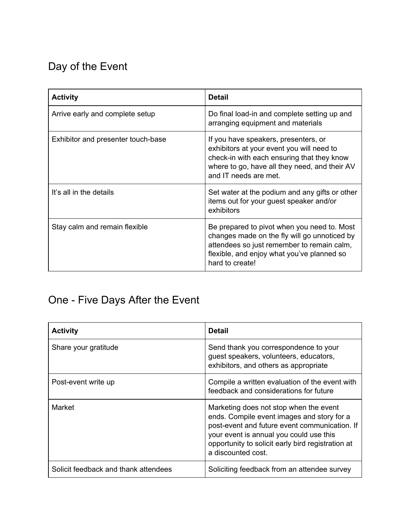## <span id="page-9-0"></span>Day of the Event

| <b>Activity</b>                    | <b>Detail</b>                                                                                                                                                                                              |
|------------------------------------|------------------------------------------------------------------------------------------------------------------------------------------------------------------------------------------------------------|
| Arrive early and complete setup    | Do final load-in and complete setting up and<br>arranging equipment and materials                                                                                                                          |
| Exhibitor and presenter touch-base | If you have speakers, presenters, or<br>exhibitors at your event you will need to<br>check-in with each ensuring that they know<br>where to go, have all they need, and their AV<br>and IT needs are met.  |
| It's all in the details            | Set water at the podium and any gifts or other<br>items out for your guest speaker and/or<br>exhibitors                                                                                                    |
| Stay calm and remain flexible      | Be prepared to pivot when you need to. Most<br>changes made on the fly will go unnoticed by<br>attendees so just remember to remain calm,<br>flexible, and enjoy what you've planned so<br>hard to create! |

### <span id="page-9-1"></span>One - Five Days After the Event

| <b>Activity</b>                      | <b>Detail</b>                                                                                                                                                                                                                                               |
|--------------------------------------|-------------------------------------------------------------------------------------------------------------------------------------------------------------------------------------------------------------------------------------------------------------|
| Share your gratitude                 | Send thank you correspondence to your<br>guest speakers, volunteers, educators,<br>exhibitors, and others as appropriate                                                                                                                                    |
| Post-event write up                  | Compile a written evaluation of the event with<br>feedback and considerations for future                                                                                                                                                                    |
| Market                               | Marketing does not stop when the event<br>ends. Compile event images and story for a<br>post-event and future event communication. If<br>your event is annual you could use this<br>opportunity to solicit early bird registration at<br>a discounted cost. |
| Solicit feedback and thank attendees | Soliciting feedback from an attendee survey                                                                                                                                                                                                                 |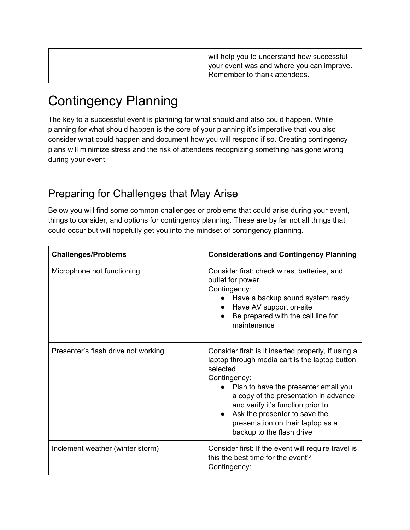| will help you to understand how successful<br>  your event was and where you can improve.<br>I Remember to thank attendees. |
|-----------------------------------------------------------------------------------------------------------------------------|
|                                                                                                                             |

## <span id="page-10-0"></span>Contingency Planning

The key to a successful event is planning for what should and also could happen. While planning for what should happen is the core of your planning it's imperative that you also consider what could happen and document how you will respond if so. Creating contingency plans will minimize stress and the risk of attendees recognizing something has gone wrong during your event.

### <span id="page-10-1"></span>Preparing for Challenges that May Arise

Below you will find some common challenges or problems that could arise during your event, things to consider, and options for contingency planning. These are by far not all things that could occur but will hopefully get you into the mindset of contingency planning.

| <b>Challenges/Problems</b>          | <b>Considerations and Contingency Planning</b>                                                                                                                                                                                                                                                                                                                          |
|-------------------------------------|-------------------------------------------------------------------------------------------------------------------------------------------------------------------------------------------------------------------------------------------------------------------------------------------------------------------------------------------------------------------------|
| Microphone not functioning          | Consider first: check wires, batteries, and<br>outlet for power<br>Contingency:<br>Have a backup sound system ready<br>Have AV support on-site<br>Be prepared with the call line for<br>$\bullet$<br>maintenance                                                                                                                                                        |
| Presenter's flash drive not working | Consider first: is it inserted properly, if using a<br>laptop through media cart is the laptop button<br>selected<br>Contingency:<br>Plan to have the presenter email you<br>a copy of the presentation in advance<br>and verify it's function prior to<br>Ask the presenter to save the<br>$\bullet$<br>presentation on their laptop as a<br>backup to the flash drive |
| Inclement weather (winter storm)    | Consider first: If the event will require travel is<br>this the best time for the event?<br>Contingency:                                                                                                                                                                                                                                                                |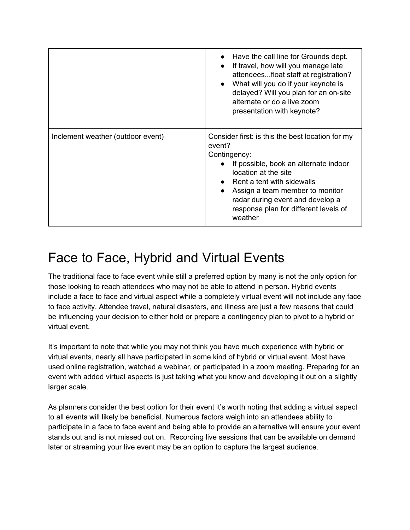|                                   | • Have the call line for Grounds dept.<br>If travel, how will you manage late<br>attendeesfloat staff at registration?<br>What will you do if your keynote is<br>$\bullet$<br>delayed? Will you plan for an on-site<br>alternate or do a live zoom<br>presentation with keynote?                                                         |
|-----------------------------------|------------------------------------------------------------------------------------------------------------------------------------------------------------------------------------------------------------------------------------------------------------------------------------------------------------------------------------------|
| Inclement weather (outdoor event) | Consider first: is this the best location for my<br>event?<br>Contingency:<br>If possible, book an alternate indoor<br>$\bullet$<br>location at the site<br>$\bullet$ Rent a tent with sidewalls<br>Assign a team member to monitor<br>$\bullet$<br>radar during event and develop a<br>response plan for different levels of<br>weather |

## <span id="page-11-0"></span>Face to Face, Hybrid and Virtual Events

The traditional face to face event while still a preferred option by many is not the only option for those looking to reach attendees who may not be able to attend in person. Hybrid events include a face to face and virtual aspect while a completely virtual event will not include any face to face activity. Attendee travel, natural disasters, and illness are just a few reasons that could be influencing your decision to either hold or prepare a contingency plan to pivot to a hybrid or virtual event.

It's important to note that while you may not think you have much experience with hybrid or virtual events, nearly all have participated in some kind of hybrid or virtual event. Most have used online registration, watched a webinar, or participated in a zoom meeting. Preparing for an event with added virtual aspects is just taking what you know and developing it out on a slightly larger scale.

As planners consider the best option for their event it's worth noting that adding a virtual aspect to all events will likely be beneficial. Numerous factors weigh into an attendees ability to participate in a face to face event and being able to provide an alternative will ensure your event stands out and is not missed out on. Recording live sessions that can be available on demand later or streaming your live event may be an option to capture the largest audience.